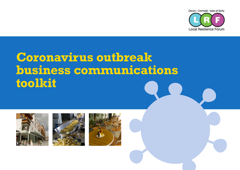

# **Coronavirus outbreak business communications toolkit**





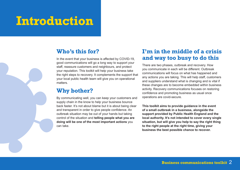## **Introduction**

## **Who's this for?**

In the event that your business is affected by COVID-19, good communications will go a long way to support your staff, reassure customers and neighbours, and protect your reputation. This toolkit will help your business take the right steps to recovery. It complements the support that your local public health team will give you on operational matters.

### **Why bother?**

By communicating well, you can keep your customers and supply chain in the know to help your business bounce back faster. It's not about blame but it is about being clear and transparent in order to give people confidence. An outbreak situation may be out of your hands but taking control of the situation and **telling people what you are doing will be one of the most important actions** you can take.

## **I'm in the middle of a crisis and way too busy to do this**

There are two phases, outbreak and recovery. How you communicate in each will be different. Outbreak communications will focus on what has happened and any actions you are taking. This will help staff, customers and suppliers understand what is changing and is vital if these changes are to become embedded within business activity. Recovery communications focuses on restoring confidence and promoting business as usual once operations are covid-secure.

**This toolkit aims to provide guidance in the event of a small outbreak in a business, alongside the support provided by Public Health England and the local authority. It's not intended to cover every single situation, but will give you help to say the right thing to the right people at the right time, giving your business the best possible chance to recover.**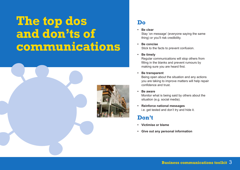# **The top dos and don'ts of communications**



## **Do**

#### **• Be clear**

Stay 'on message' (everyone saying the same thing) or you'll risk credibility.

**• Be concise** Stick to the facts to prevent confusion.

#### **• Be timely**

Regular communications will stop others from filling in the blanks and prevent rumours by making sure you are heard first.

#### **• Be transparent**

Being open about the situation and any actions you are taking to improve matters will help repair confidence and trust.

#### **• Be aware**

Monitor what is being said by others about the situation (e.g. social media).

**• Reinforce national messages** i.e. get tested and don't try and hide it.

## **Don't**

- **• Victimise or blame**
- **• Give out any personal information**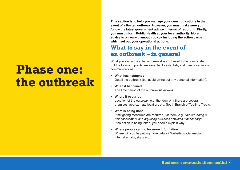# **Phase one: the outbreak**

**This section is to help you manage your communications in the event of a limited outbreak. However, you must make sure you follow the latest government advice in terms of reporting. Firstly, you must inform Public Health at your local authority. More advice is on www.plymouth.gov.uk including the action cards which set out your operational actions.**

## **What to say in the event of an outbreak – in general**

What you say in the initial outbreak does not need to be complicated, but the following points are essential to establish, and then cover in any communications:

- **• What has happened** Detail the outbreak (but avoid giving out any personal information).
- **• When it happened** The time period of the outbreak (if known).
- **• Where it occurred**

Location of the outbreak, e.g. the town or if there are several premises, approximate location, e.g. South Branch of Teatime Treats.

**• What is being done**

If mitigating measures are required, list them, e.g. *"We are doing a risk assessment and adjusting business activities if necessary."* If no action is being taken, you should explain why.

**• Where people can go for more information** Where will you be putting more details? Website, social media, internal emails, signs etc.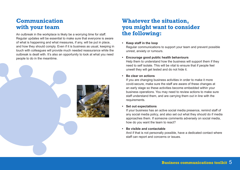## **Communication with your team**

An outbreak in the workplace is likely be a worrying time for staff. Regular updates will be essential to make sure that everyone is aware of what is happening and what measures, if any, will be put in place, and how they should comply. Even if it is business as usual, keeping in touch with colleagues will provide much needed reassurance while the outbreak is dealt with. It's also an opportunity to look at what you need people to do in the meantime.



## **Whatever the situation, you might want to consider the following:**

#### **• Keep staff in the loop**

Regular communications to support your team and prevent possible unrest, anxiety or rumours.

#### **• Encourage good public health behaviours**

Help them to understand how the business will support them if they need to self isolate. This will be vital to ensure that if people feel unwell they will get tested and do not hide it.

#### **• Be clear on actions**

If you are changing business activities in order to make it more covid-secure, make sure the staff are aware of these changes at an early stage so these activities become embedded within your business operations. You may need to review actions to make sure staff understand them, and are carrying them out in line with the requirements.

#### **• Set out expectations**

If your business has an active social media presence, remind staff of any social media policy, and also set out what they should do if media approaches them. If someone comments adversely on social media, how do you want the team to react?

#### **• Be visible and contactable**

And if that is not personally possible, have a dedicated contact where staff can report and concerns or issues.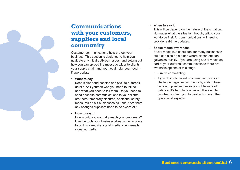## **Communications with your customers, suppliers and local community**

Customer communications help protect your business. This section is designed to help you navigate any initial outbreak issues, and setting out how you can spread the message wider to clients, your supply chain and your local neighbourhood – if appropriate.

**• What to say**

Keep it clear and concise and stick to outbreak details. Ask yourself who you need to talk to and what you need to tell them. Do you need to send bespoke communications to your clients – are there temporary closures, additional safety measures or is it businesses as usual? Are there any changes suppliers need to be aware of?

**• How to say it**

How would you normally reach your customers? Use the tools your business already has in place to do this - website, social media, client emails signage, media.

#### **• When to say it**

This will be depend on the nature of the situation. No matter what the situation though, talk to your workforce first. All communications will need to provide real-time updates.

#### **• Social media awareness**

Social media is a useful tool for many businesses but it can also be a place where discontent can galvanise quickly. If you are using social media as part of your outbreak communications there are two basic options at this stage:

- turn off commenting
- if you do continue with commenting, you can challenge negative comments by stating basic facts and positive messages but beware of balance. It's hard to counter a full scale pile on when you're trying to deal with many other operational aspects.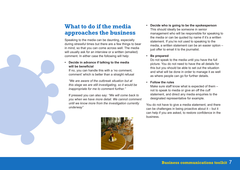## **What to do if the media approaches the business**

Speaking to the media can be daunting, especially during stressful times but there are a few things to bear in mind, so that you can come across well. The media will usually ask for an interview or a written (emailed) comment. In either case the following will help:

#### **• Decide in advance if talking to the media will be beneficial**

If no, you can handle this with a 'no comment, comment' which is better than a straight refusal

*"We are aware of the outbreak situation but at this stage we are still investigating, so it would be inappropriate for me to comment further."*

If pressed you can also say: *"We will come back to you when we have more detail. We cannot comment until we know more from the investigation currently underway"*



**• Decide who is going to be the spokesperson** This should ideally be someone in senior management who will be responsible for speaking to the media or can be quoted by name if it's a written statement. If you're not used to speaking to the media, a written statement can be an easier option – just offer to email it to the journalist.

#### **• Be prepared**

Do not speak to the media until you have the full picture. You do not need to have the all details for this but you should be able to set out the situation and what will be done in order to manage it as well as where people can go for further details.

#### **• Follow the rules**

Make sure staff know what is expected of them – not to speak to media or give an off the cuff statement, and direct any media enquiries to the designated representative for example.

You do not have to give a media statement, and there can be challenges in being proactive about it – but it can help if you are asked, to restore confidence in the business.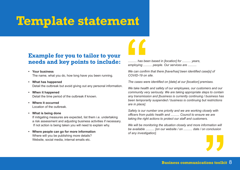## **Template statement**

### **Example for you to tailor to your needs and key points to include:**

- **• Your business** The name, what you do, how long have you been running.
- **• What has happened** Detail the outbreak but avoid giving out any personal information.
- **• When it happened** Detail the time period of the outbreak if known.
- **• Where it occurred** Location of the outbreak.
- **• What is being done**

If mitigating measures are expected, list them i.e. undertaking a risk assessment and adjusting business activities if necessary. If not action is being taken you will need to explain why.

**• Where people can go for more information** Where will you be publishing more details? Website, social media, internal emails etc.

*.......... has been based in [location] for .......... years, employing .......... people. Our services are ..........* 

*We can confirm that there [have/has] been identified case[s] of COVID-19 on site.* 

*The cases were identified on [date] at our [location] premises.* 

*We take health and safety of our employees, our customers and our community very seriously. We are taking appropriate steps to contain any transmission and [business is currently continuing / business has been temporarily suspended / business is continuing but restrictions are in place].*

*Safety is our number one priority and we are working closely with officers from public health and .......... Council to ensure we are taking the right actions to protect our staff and customers.*

*We will be monitoring the situation closely and more information will be available .......... [on our website / on .......... date / on conclusion of any investigation].*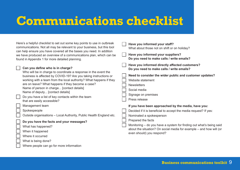## **Communications checklist**

What is being done?

Where people can go for more information

| Here's a helpful checklist to set out some key points to use in outbreak<br>communications. Not all may be relevant to your business, but this tool<br>can help ensure you have covered all the bases you need. In addition<br>we have produced an overview of a communications plan, which can be<br>found in Appendix 1 for more detailed planning. |                                                                                                                                                                                                                                                                                                                                                                    |  | Have you informed your staff?<br>What about those not on shift or on holiday?                                                                                           |
|-------------------------------------------------------------------------------------------------------------------------------------------------------------------------------------------------------------------------------------------------------------------------------------------------------------------------------------------------------|--------------------------------------------------------------------------------------------------------------------------------------------------------------------------------------------------------------------------------------------------------------------------------------------------------------------------------------------------------------------|--|-------------------------------------------------------------------------------------------------------------------------------------------------------------------------|
|                                                                                                                                                                                                                                                                                                                                                       |                                                                                                                                                                                                                                                                                                                                                                    |  | Have you informed your suppliers?<br>Do you need to make calls / write emails?                                                                                          |
|                                                                                                                                                                                                                                                                                                                                                       | Can you define who is in charge?<br>Who will be in charge to coordinate a response in the event the                                                                                                                                                                                                                                                                |  | Have you informed directly affected customers?<br>Do you need to make calls / write emails?                                                                             |
|                                                                                                                                                                                                                                                                                                                                                       | business is affected by COVID-19? Are you taking instructions or<br>working with a team from the local authority? What happens if they<br>are on leave? What happens if they become a case?<br>Name of person in charge [contact details]<br>Name of deputy [contact details]<br>Do you have a list of key contacts within the team<br>that are easily accessible? |  | Need to consider the wider public and customer updates?<br>Website statement<br><b>Newsletters</b><br>Social media<br>Signage on premises<br>Press release              |
|                                                                                                                                                                                                                                                                                                                                                       | Management team                                                                                                                                                                                                                                                                                                                                                    |  | If you have been approached by the media, have you:                                                                                                                     |
|                                                                                                                                                                                                                                                                                                                                                       | Spokespeople<br>Outside organisations - Local Authority, Public Health England etc.<br>Do you have the facts and your messages?                                                                                                                                                                                                                                    |  | Decided if it is beneficial to accept the media request? If yes:<br>Nominated a spokesperson<br>Prepared the facts                                                      |
|                                                                                                                                                                                                                                                                                                                                                       | What has happened?<br>When it happened<br>Where it occurred                                                                                                                                                                                                                                                                                                        |  | Monitoring – do you have a system for finding out what's being said<br>about the situation? On social media for example – and how will (or<br>even should) you respond? |

**Business communications toolkit** 9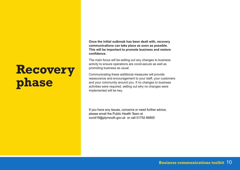# **Recovery phase**

**Once the initial outbreak has been dealt with, recovery communications can take place as soon as possible. This will be important to promote business and restore confidence.**

The main focus will be setting out any changes to business activity to ensure operations are covid-secure as well as promoting business as usual.

Communicating these additional measures will provide reassurance and encouragement to your staff, your customers and your community around you. If no changes to business activities were required, setting out why no changes were implemented will be key.

If you have any issues, concerns or need further advice, please email the Public Health Team at covid19@plymouth.gov.uk or call 01752 66800